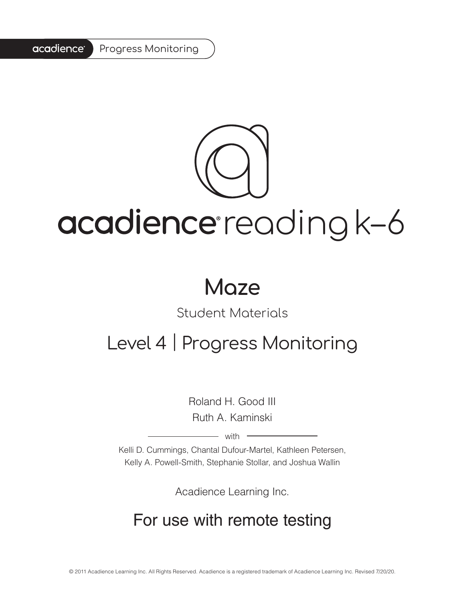#### acadience<sup>®</sup> Progress Monitoring

# acadience reading k-6

# **Maze**

# Student Materials

# Level 4 | Progress Monitoring

Roland H. Good III Ruth A. Kaminski

 $-$  with  $-$ 

Kelli D. Cummings, Chantal Dufour-Martel, Kathleen Petersen, Kelly A. Powell-Smith, Stephanie Stollar, and Joshua Wallin

Acadience Learning Inc.

# For use with remote testing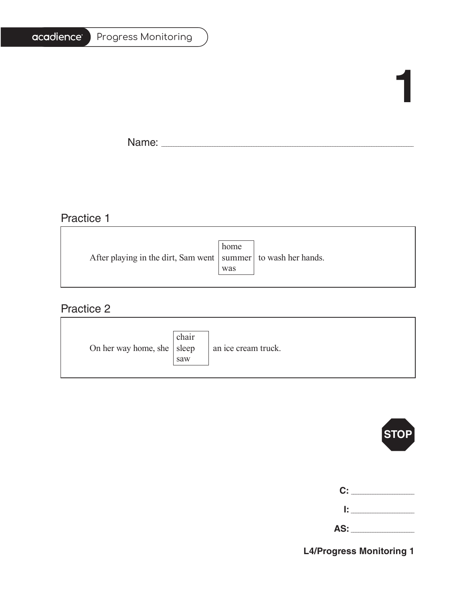| Progress Monitoring |
|---------------------|
|                     |

# **1**

Ē.

Name: \_\_\_\_\_\_\_\_\_\_\_\_\_\_\_\_\_\_\_\_\_\_\_\_\_\_\_\_\_\_\_\_\_\_\_\_\_\_\_\_\_\_\_\_\_\_\_\_\_\_\_\_\_\_\_\_\_\_\_\_\_\_\_\_\_\_\_\_\_\_\_\_\_\_\_\_\_\_\_\_\_\_\_\_\_\_\_\_\_\_\_\_\_\_\_\_\_\_\_\_\_\_\_

# Practice 1

|                                                                   | home |  |
|-------------------------------------------------------------------|------|--|
| After playing in the dirt, Sam went   summer   to wash her hands. |      |  |
|                                                                   | was  |  |
|                                                                   |      |  |

<u> 1989 - Johann Barn, mars ann an t-Amhain Aonaich an t-Aonaich an t-Aonaich ann an t-Aonaich ann an t-Aonaich</u>

# Practice 2

| On her way home, she $ $ sleep | chair<br>saw | an ice cream truck. |
|--------------------------------|--------------|---------------------|
|--------------------------------|--------------|---------------------|



| C: C<br><b>Contractor</b> |
|---------------------------|
| lt i v                    |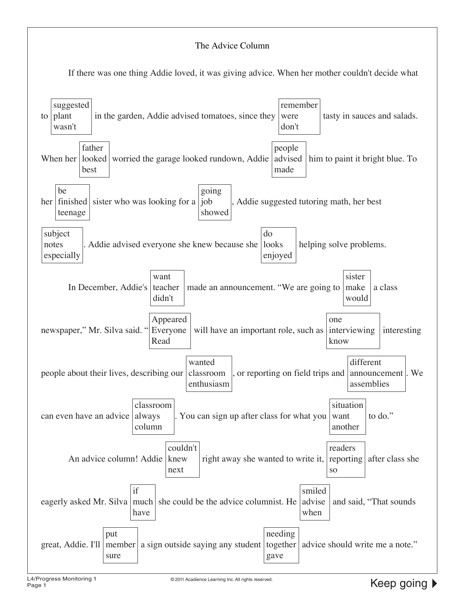#### The Advice Column

If there was one thing Addie loved, it was giving advice. When her mother couldn't decide what

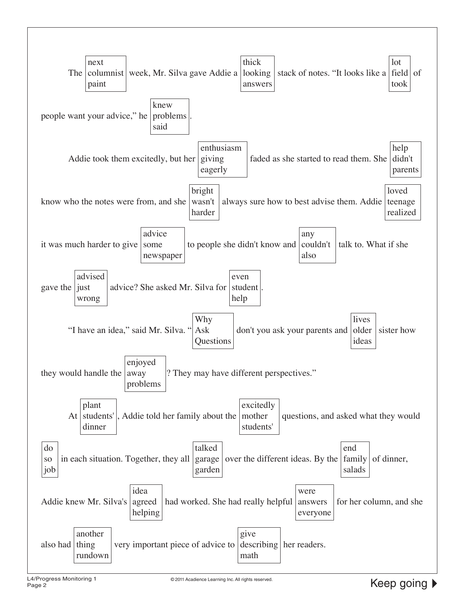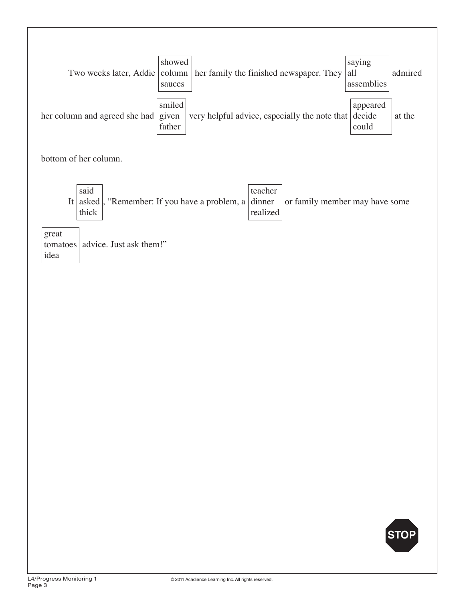| showed |                                                                                                      | saying     |         |
|--------|------------------------------------------------------------------------------------------------------|------------|---------|
|        | Two weeks later, Addie $\vert$ column $\vert$ her family the finished newspaper. They $\vert$ all    |            | admired |
| sauces |                                                                                                      | assemblies |         |
|        |                                                                                                      |            |         |
| smiled |                                                                                                      | appeared   |         |
|        | her column and agreed she had $ $ given $ $ very helpful advice, especially the note that $ $ decide |            | at the  |
| father |                                                                                                      | could      |         |

bottom of her column.

| said  |                                                                                                                | teacher  |  |
|-------|----------------------------------------------------------------------------------------------------------------|----------|--|
|       | It asked $\mathsf{R}$ . "Remember: If you have a problem, a dinner $\mathsf{R}$ or family member may have some |          |  |
| thick |                                                                                                                | realized |  |

great tomatoes advice. Just ask them!" idea

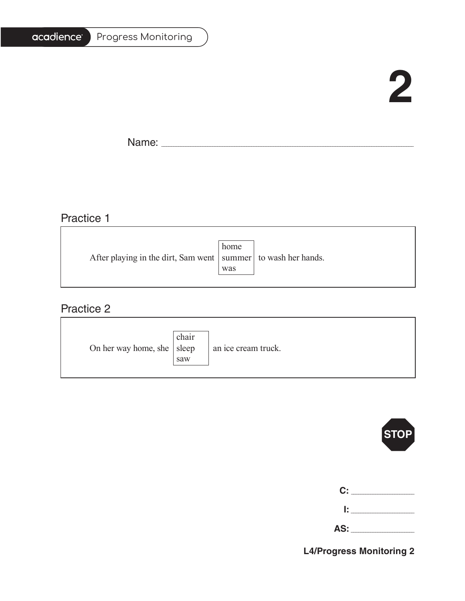| Progress Monitoring |
|---------------------|
|                     |

# **2**

Ē.

Name: \_\_\_\_\_\_\_\_\_\_\_\_\_\_\_\_\_\_\_\_\_\_\_\_\_\_\_\_\_\_\_\_\_\_\_\_\_\_\_\_\_\_\_\_\_\_\_\_\_\_\_\_\_\_\_\_\_\_\_\_\_\_\_\_\_\_\_\_\_\_\_\_\_\_\_\_\_\_\_\_\_\_\_\_\_\_\_\_\_\_\_\_\_\_\_\_\_\_\_\_\_\_\_

# Practice 1

|                                                                   | home |  |
|-------------------------------------------------------------------|------|--|
| After playing in the dirt, Sam went   summer   to wash her hands. |      |  |
|                                                                   | was  |  |
|                                                                   |      |  |

<u> 1989 - Johann Stein, marwolaethau a bhann an t-Amhainn an t-Amhainn an t-Amhainn an t-Amhainn an t-Amhainn a</u>

### Practice 2

| On her way home, she $ $ sleep | chair<br>saw | an ice cream truck. |
|--------------------------------|--------------|---------------------|
|--------------------------------|--------------|---------------------|



|   | C: _______              |
|---|-------------------------|
| r |                         |
|   | AS: Andrew Section 1997 |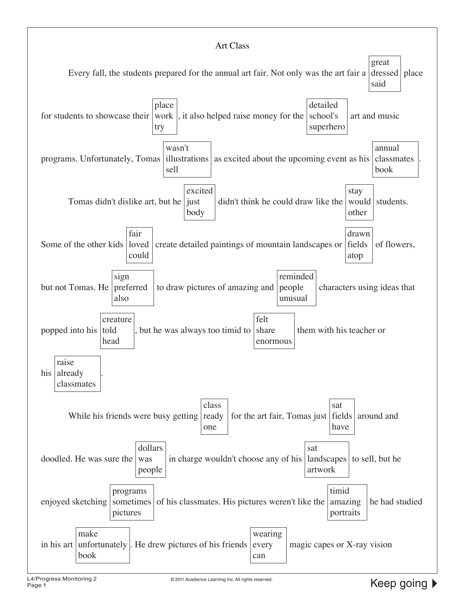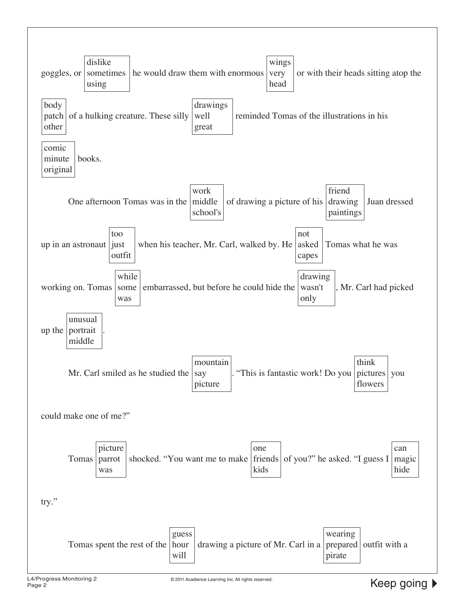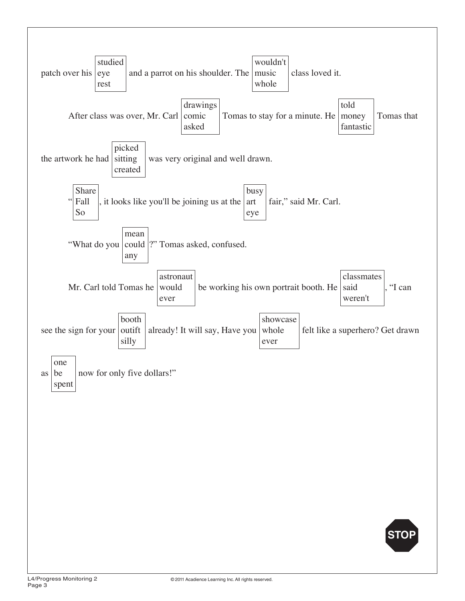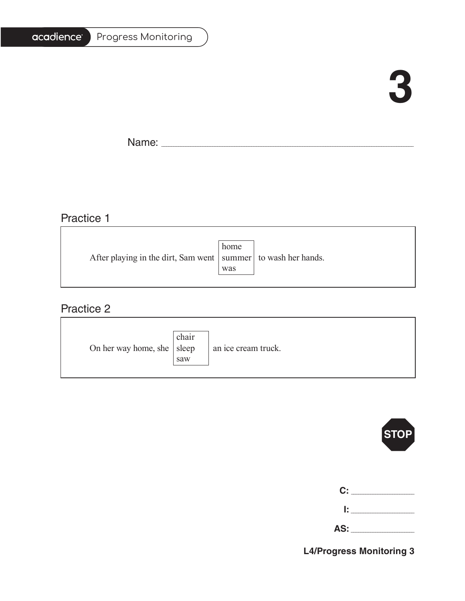| <b>Progress Monitoring</b> |
|----------------------------|
|                            |

# **3**

 $\blacksquare$ 

Name: \_\_\_\_\_\_\_\_\_\_\_\_\_\_\_\_\_\_\_\_\_\_\_\_\_\_\_\_\_\_\_\_\_\_\_\_\_\_\_\_\_\_\_\_\_\_\_\_\_\_\_\_\_\_\_\_\_\_\_\_\_\_\_\_\_\_\_\_\_\_\_\_\_\_\_\_\_\_\_\_\_\_\_\_\_\_\_\_\_\_\_\_\_\_\_\_\_\_\_\_\_\_\_

<u> 1989 - Johann Barbara, martxa alemaniar arg</u>

### Practice 1

|                                                                   | home |  |
|-------------------------------------------------------------------|------|--|
| After playing in the dirt, Sam went   summer   to wash her hands. |      |  |
|                                                                   | was  |  |
|                                                                   |      |  |

### Practice 2

| On her way home, she $ $ sleep | chair<br>saw | an ice cream truck. |
|--------------------------------|--------------|---------------------|
|--------------------------------|--------------|---------------------|



|     | C: ________ |
|-----|-------------|
| Ŀ.  |             |
| AS: |             |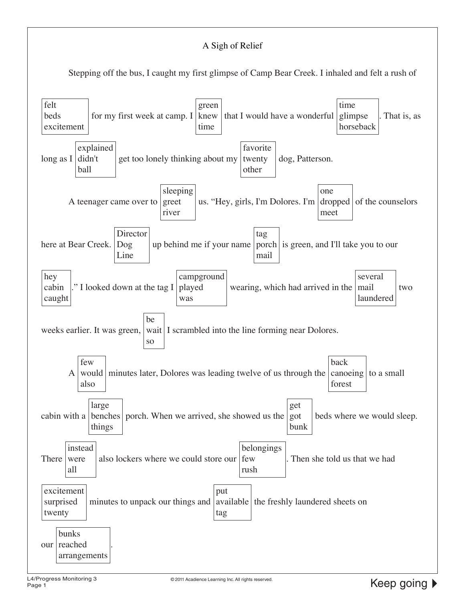### A Sigh of Relief

Stepping off the bus, I caught my first glimpse of Camp Bear Creek. I inhaled and felt a rush of

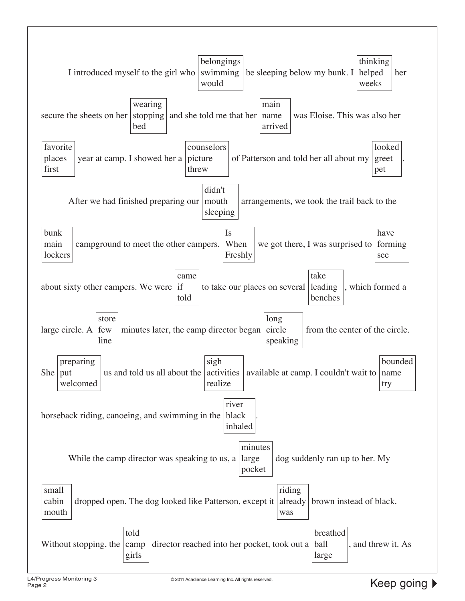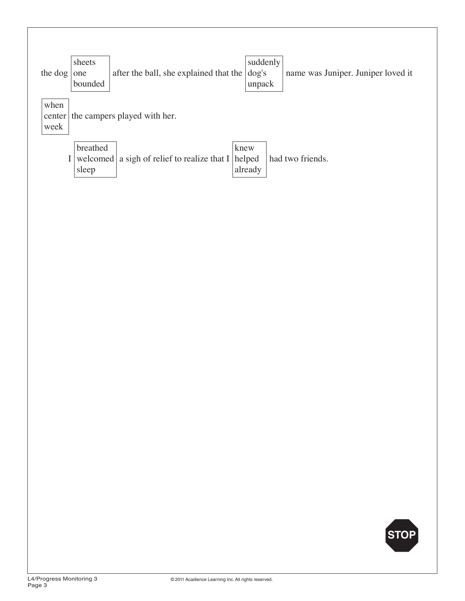| the dog                | sheets<br>one<br>bounded      | after the ball, she explained that the    | suddenly<br>$\log$ 's<br>unpack | name was Juniper. Juniper loved it |
|------------------------|-------------------------------|-------------------------------------------|---------------------------------|------------------------------------|
| when<br>center<br>week |                               | the campers played with her.              |                                 |                                    |
|                        | breathed<br>welcomed<br>sleep | a sigh of relief to realize that I helped | knew<br>already                 | had two friends.                   |

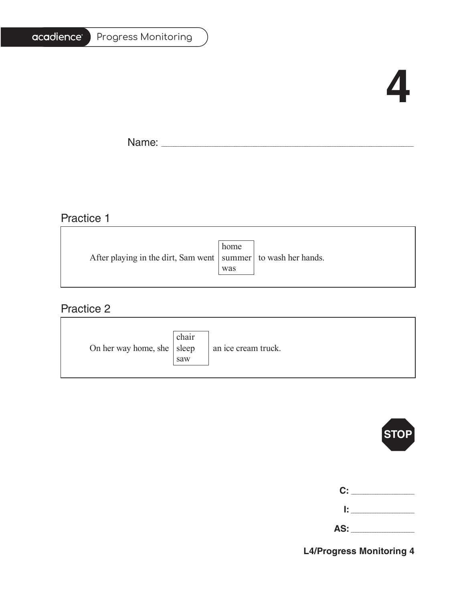|  |  | Progress Monitoring |
|--|--|---------------------|
|--|--|---------------------|

# **4**

Ē.

Name: \_\_\_\_\_\_\_\_\_\_\_\_\_\_\_\_\_\_\_\_\_\_\_\_\_\_\_\_\_\_\_\_\_\_\_\_\_\_\_\_\_\_\_\_\_\_\_\_\_\_\_\_\_\_\_\_\_\_\_\_\_\_\_\_\_\_\_\_\_\_\_\_\_\_\_\_\_\_\_\_\_\_\_\_\_\_\_\_\_\_\_\_\_\_\_\_\_\_\_\_\_\_\_

# Practice 1

|                                                                   | home |  |
|-------------------------------------------------------------------|------|--|
| After playing in the dirt, Sam went   summer   to wash her hands. |      |  |
|                                                                   | was  |  |
|                                                                   |      |  |

### Practice 2

| On her way home, she $ $ sleep | chair<br>saw | an ice cream truck. |
|--------------------------------|--------------|---------------------|
|--------------------------------|--------------|---------------------|



| C:    |  |
|-------|--|
| r     |  |
| AS: _ |  |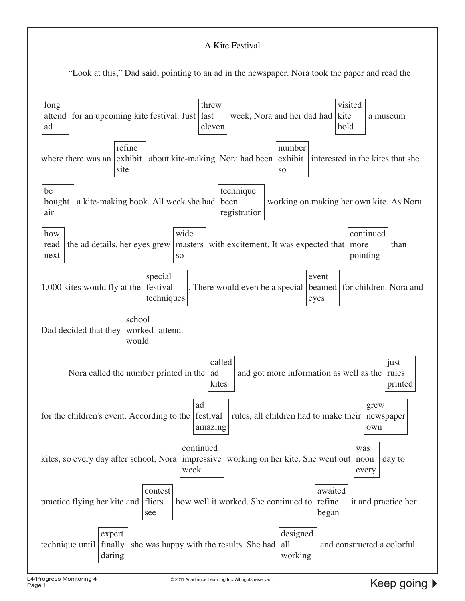#### A Kite Festival

"Look at this," Dad said, pointing to an ad in the newspaper. Nora took the paper and read the

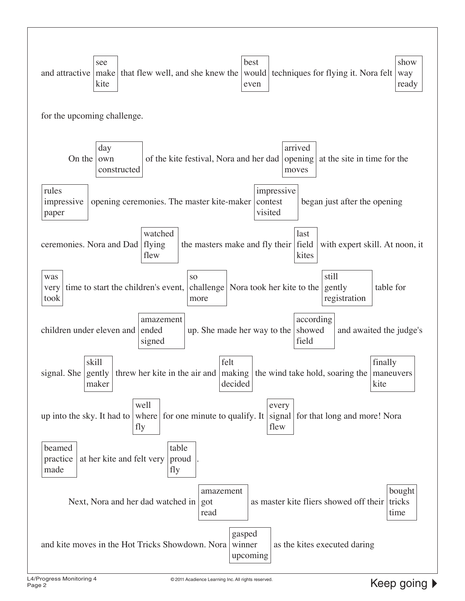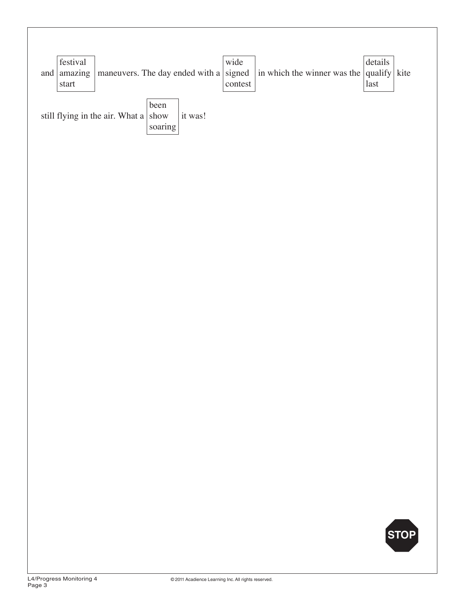| festival<br>and $ $ amazing<br>$\operatorname{start}$ | maneuvers. The day ended with a signed |                                                 |         | wide<br>contest | in which the winner was the qualify | details<br>$\operatorname*{last}% \left( X\right) \equiv\operatorname*{last}% \left( X\right) \equiv\operatorname*{last}% \left( X\right) \equiv\operatorname*{last}% \left( X\right) \equiv\operatorname*{last}% \left( X\right) \equiv\operatorname*{last}% \left( X\right) \equiv\operatorname*{last}% \left( X\right) \equiv\operatorname*{last}% \left( X\right) \equiv\operatorname*{last}% \left( X\right) \equiv\operatorname*{last}% \left( X\right) \equiv\operatorname*{last}% \left( X\right) \equiv\operatorname*{last}% \left( X\right) \equiv\operatorname*{last}% \left( X\right) \equiv\operatorname*{last}% \left( X\$ | kite |
|-------------------------------------------------------|----------------------------------------|-------------------------------------------------|---------|-----------------|-------------------------------------|------------------------------------------------------------------------------------------------------------------------------------------------------------------------------------------------------------------------------------------------------------------------------------------------------------------------------------------------------------------------------------------------------------------------------------------------------------------------------------------------------------------------------------------------------------------------------------------------------------------------------------------|------|
|                                                       | still flying in the air. What a        | been<br>$\operatorname{show}$<br>$\rm{soaring}$ | it was! |                 |                                     |                                                                                                                                                                                                                                                                                                                                                                                                                                                                                                                                                                                                                                          |      |
|                                                       |                                        |                                                 |         |                 |                                     |                                                                                                                                                                                                                                                                                                                                                                                                                                                                                                                                                                                                                                          |      |
|                                                       |                                        |                                                 |         |                 |                                     |                                                                                                                                                                                                                                                                                                                                                                                                                                                                                                                                                                                                                                          |      |
|                                                       |                                        |                                                 |         |                 |                                     |                                                                                                                                                                                                                                                                                                                                                                                                                                                                                                                                                                                                                                          |      |
|                                                       |                                        |                                                 |         |                 |                                     |                                                                                                                                                                                                                                                                                                                                                                                                                                                                                                                                                                                                                                          |      |
|                                                       |                                        |                                                 |         |                 |                                     |                                                                                                                                                                                                                                                                                                                                                                                                                                                                                                                                                                                                                                          |      |
|                                                       |                                        |                                                 |         |                 |                                     |                                                                                                                                                                                                                                                                                                                                                                                                                                                                                                                                                                                                                                          |      |
|                                                       |                                        |                                                 |         |                 |                                     |                                                                                                                                                                                                                                                                                                                                                                                                                                                                                                                                                                                                                                          |      |
|                                                       |                                        |                                                 |         |                 |                                     |                                                                                                                                                                                                                                                                                                                                                                                                                                                                                                                                                                                                                                          | STOP |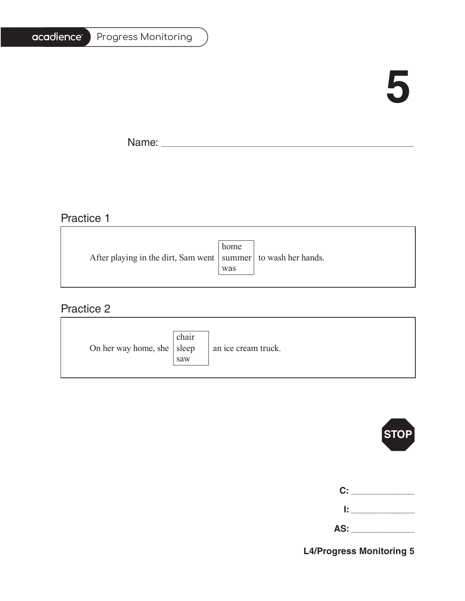| <b>Progress Monitoring</b> |
|----------------------------|
|                            |

# **5**

Ē.

Name: \_\_\_\_\_\_\_\_\_\_\_\_\_\_\_\_\_\_\_\_\_\_\_\_\_\_\_\_\_\_\_\_\_\_\_\_\_\_\_\_\_\_\_\_\_\_\_\_\_\_\_\_\_\_\_\_\_\_\_\_\_\_\_\_\_\_\_\_\_\_\_\_\_\_\_\_\_\_\_\_\_\_\_\_\_\_\_\_\_\_\_\_\_\_\_\_\_\_\_\_\_\_\_

# Practice 1

|                                                                   | home |  |
|-------------------------------------------------------------------|------|--|
| After playing in the dirt, Sam went   summer   to wash her hands. |      |  |
|                                                                   | was  |  |
|                                                                   |      |  |

<u> 1989 - Johann Stein, marwolaethau a bhann an t-Amhainn an t-Amhainn an t-Amhainn an t-Amhainn an t-Amhainn a</u>

### Practice 2

| On her way home, she $ $ sleep | chair<br>saw | an ice cream truck. |
|--------------------------------|--------------|---------------------|
|--------------------------------|--------------|---------------------|



| C:  |  |
|-----|--|
| Ŀ   |  |
| AS: |  |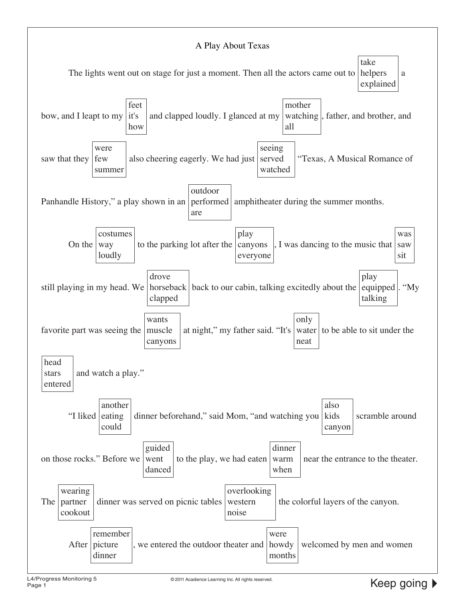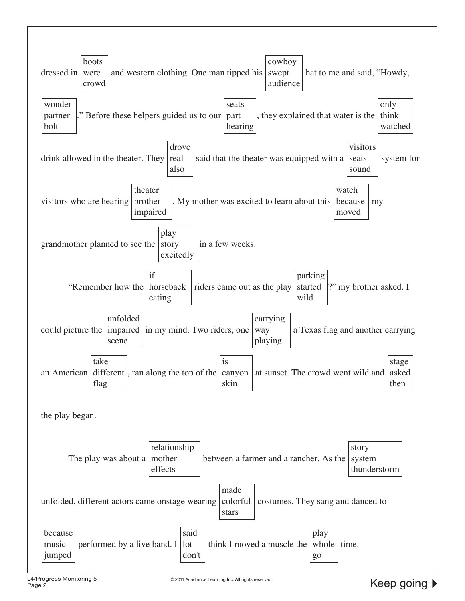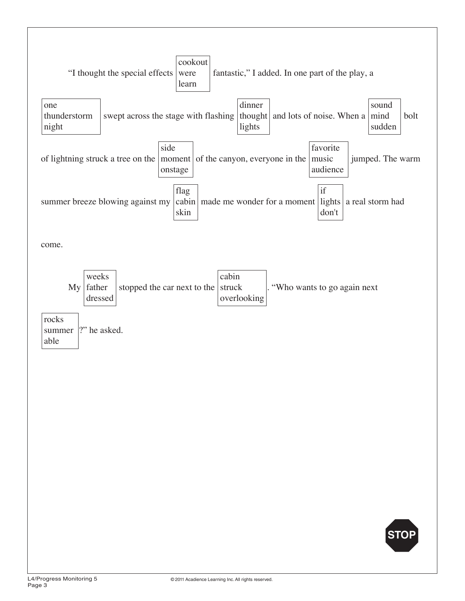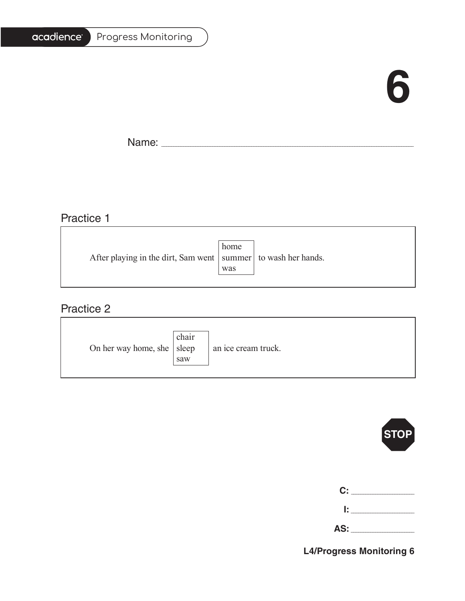# **6**

T.

Name: \_\_\_\_\_\_\_\_\_\_\_\_\_\_\_\_\_\_\_\_\_\_\_\_\_\_\_\_\_\_\_\_\_\_\_\_\_\_\_\_\_\_\_\_\_\_\_\_\_\_\_\_\_\_\_\_\_\_\_\_\_\_\_\_\_\_\_\_\_\_\_\_\_\_\_\_\_\_\_\_\_\_\_\_\_\_\_\_\_\_\_\_\_\_\_\_\_\_\_\_\_\_\_

<u> 1989 - Johann Stein, marwolaethau a bhann an t-Amhainn an t-Amhainn an t-Amhainn an t-Amhainn an t-Amhainn a</u>

# Practice 1

| After playing in the dirt, Sam went   summer   to wash her hands. | home |  |
|-------------------------------------------------------------------|------|--|
|                                                                   |      |  |
|                                                                   | was  |  |
|                                                                   |      |  |

<u> 1989 - Johann Stoff, deutscher Stoffen und der Stoffen und der Stoffen und der Stoffen und der Stoffen und der</u>

### Practice 2

| On her way home, she $ $ sleep | chair<br>saw | an ice cream truck. |
|--------------------------------|--------------|---------------------|
|--------------------------------|--------------|---------------------|



| C: I |  |
|------|--|
| I: I |  |

| rv. |  |
|-----|--|
|     |  |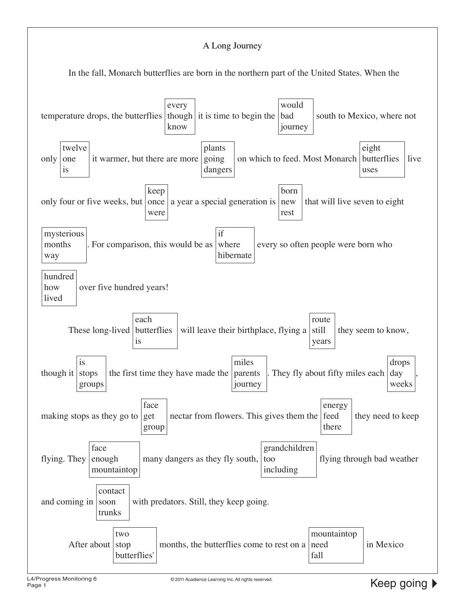#### A Long Journey

In the fall, Monarch butterflies are born in the northern part of the United States. When the

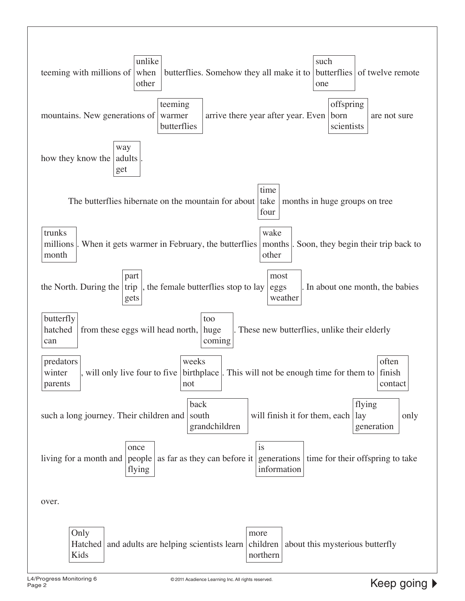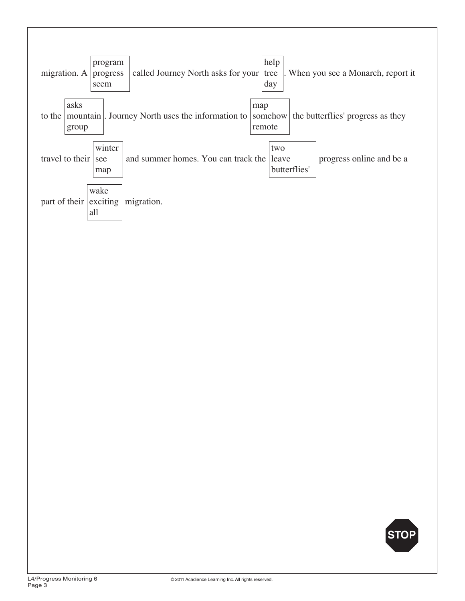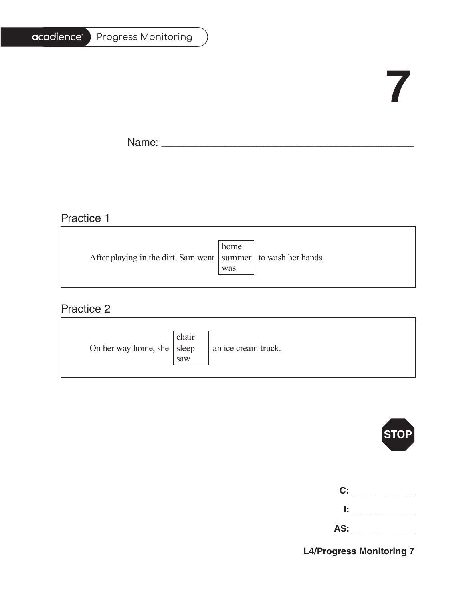#### Progress Monitoring

# **7**

Ē.

Name: \_\_\_\_\_\_\_\_\_\_\_\_\_\_\_\_\_\_\_\_\_\_\_\_\_\_\_\_\_\_\_\_\_\_\_\_\_\_\_\_\_\_\_\_\_\_\_\_\_\_\_\_\_\_\_\_\_\_\_\_\_\_\_\_\_\_\_\_\_\_\_\_\_\_\_\_\_\_\_\_\_\_\_\_\_\_\_\_\_\_\_\_\_\_\_\_\_\_\_\_\_\_\_

### Practice 1

|                                                                   | home |  |
|-------------------------------------------------------------------|------|--|
| After playing in the dirt, Sam went   summer   to wash her hands. |      |  |
|                                                                   | was  |  |
|                                                                   |      |  |

<u> 1989 - Johann Barbara, martxa alemaniar amerikan basar da a</u>

### Practice 2

| On her way home, she $ $ sleep | chair<br>saw | an ice cream truck. |
|--------------------------------|--------------|---------------------|
|--------------------------------|--------------|---------------------|



| C:   | the control of the con- |
|------|-------------------------|
| I: I |                         |

**AS:** \_\_\_\_\_\_\_\_\_\_\_\_\_\_\_\_\_\_\_\_\_\_\_\_\_\_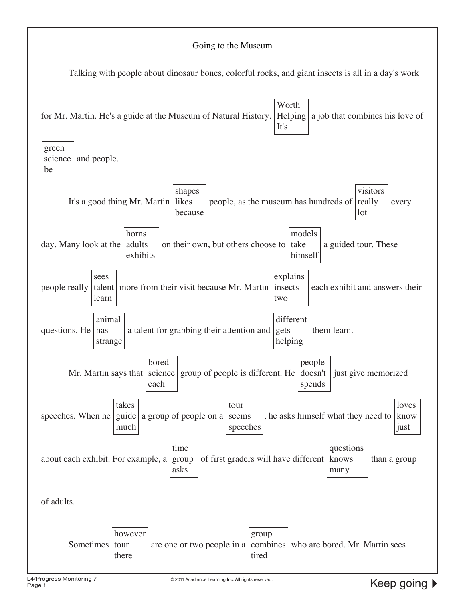#### Going to the Museum

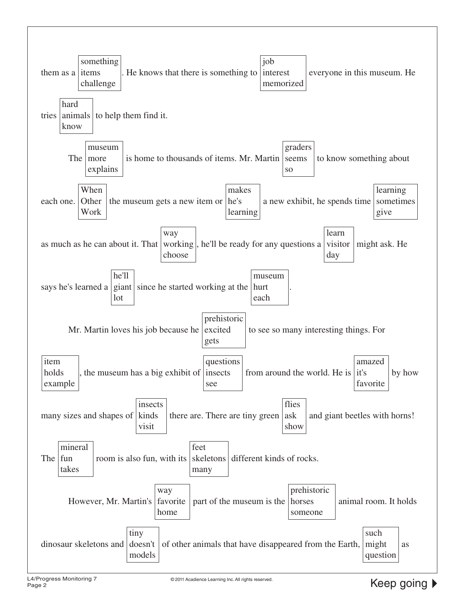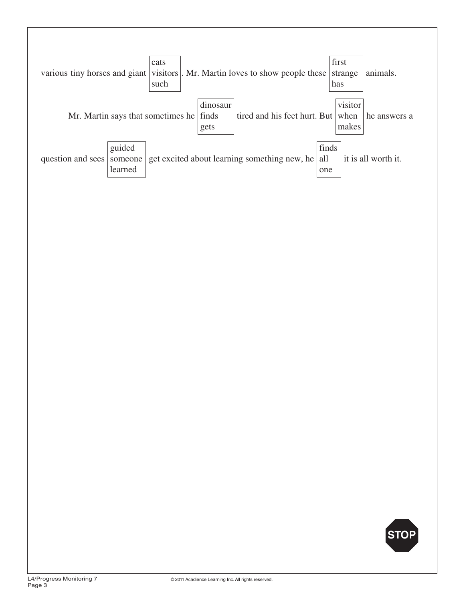

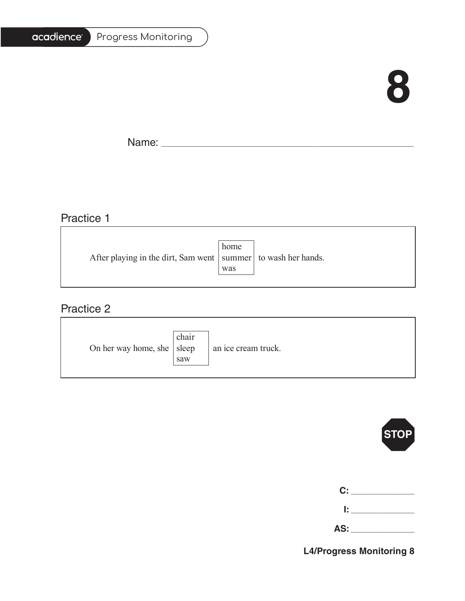Progress Monitoring

# **8**

Ē.

 $\overline{\phantom{a}}$ 

Name: \_\_\_\_\_\_\_\_\_\_\_\_\_\_\_\_\_\_\_\_\_\_\_\_\_\_\_\_\_\_\_\_\_\_\_\_\_\_\_\_\_\_\_\_\_\_\_\_\_\_\_\_\_\_\_\_\_\_\_\_\_\_\_\_\_\_\_\_\_\_\_\_\_\_\_\_\_\_\_\_\_\_\_\_\_\_\_\_\_\_\_\_\_\_\_\_\_\_\_\_\_\_\_

### Practice 1

|                                                                   | home |  |
|-------------------------------------------------------------------|------|--|
| After playing in the dirt, Sam went   summer   to wash her hands. |      |  |
|                                                                   | was  |  |
|                                                                   |      |  |

# Practice 2

| On her way home, she $ $ sleep | chair<br>saw | an ice cream truck. |
|--------------------------------|--------------|---------------------|
|--------------------------------|--------------|---------------------|



| $\mathbf{C}$ : $\_\_$ |  |
|-----------------------|--|
|                       |  |
| AS:                   |  |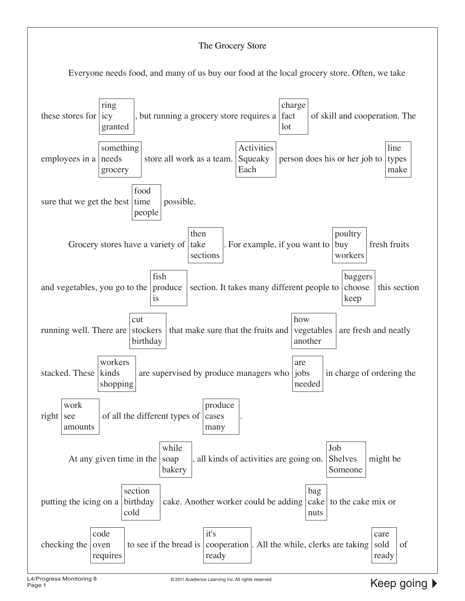#### The Grocery Store

Everyone needs food, and many of us buy our food at the local grocery store. Often, we take

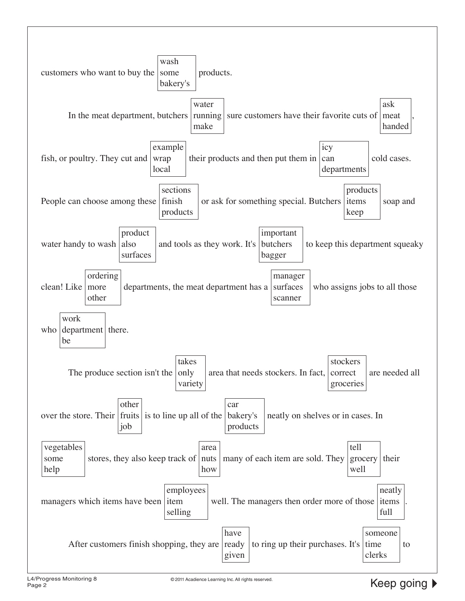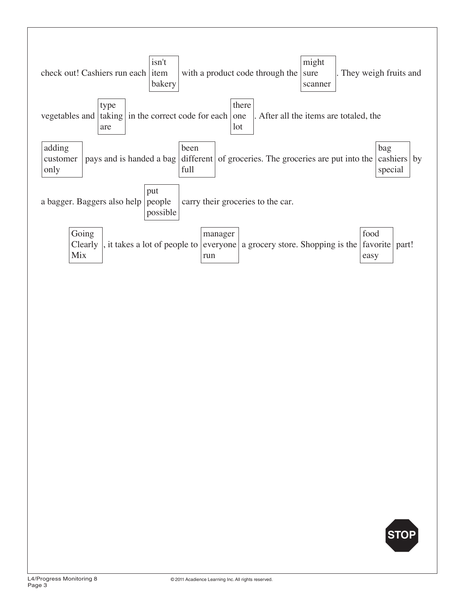

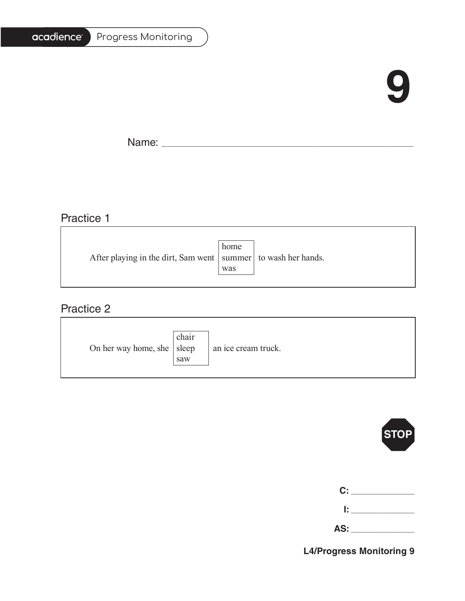# **9**

T.

Name: \_\_\_\_\_\_\_\_\_\_\_\_\_\_\_\_\_\_\_\_\_\_\_\_\_\_\_\_\_\_\_\_\_\_\_\_\_\_\_\_\_\_\_\_\_\_\_\_\_\_\_\_\_\_\_\_\_\_\_\_\_\_\_\_\_\_\_\_\_\_\_\_\_\_\_\_\_\_\_\_\_\_\_\_\_\_\_\_\_\_\_\_\_\_\_\_\_\_\_\_\_\_\_

# Practice 1

|                                                                   | home |  |
|-------------------------------------------------------------------|------|--|
| After playing in the dirt, Sam went   summer   to wash her hands. |      |  |
|                                                                   | was  |  |
|                                                                   |      |  |

<u> 1989 - Johann Stoff, deutscher Stoffen und der Stoffen und der Stoffen und der Stoffen und der Stoffen und der</u>

### Practice 2

| On her way home, she $ $ sleep | chair<br>saw | an ice cream truck. |
|--------------------------------|--------------|---------------------|
|--------------------------------|--------------|---------------------|



| C: |  |
|----|--|
| I. |  |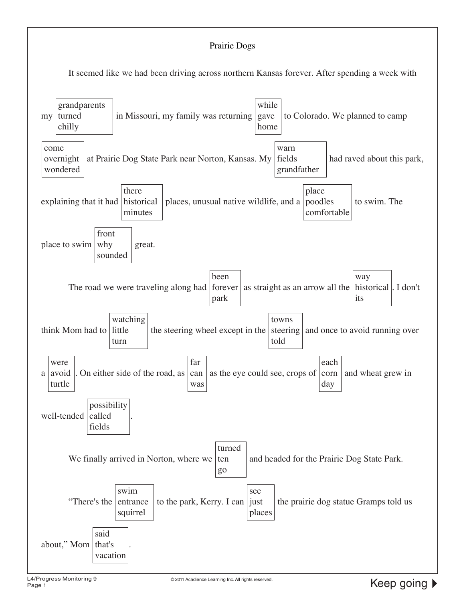#### Prairie Dogs

It seemed like we had been driving across northern Kansas forever. After spending a week with

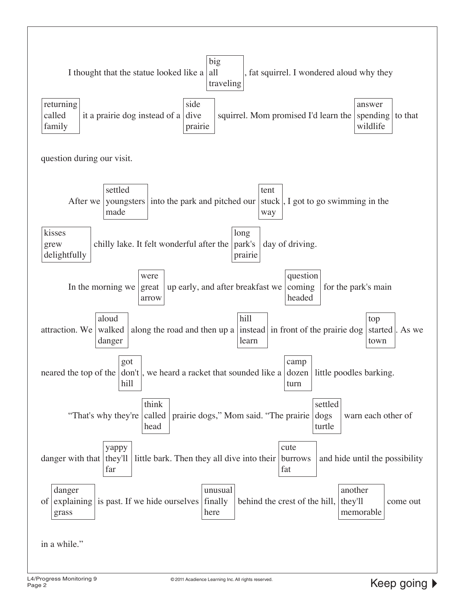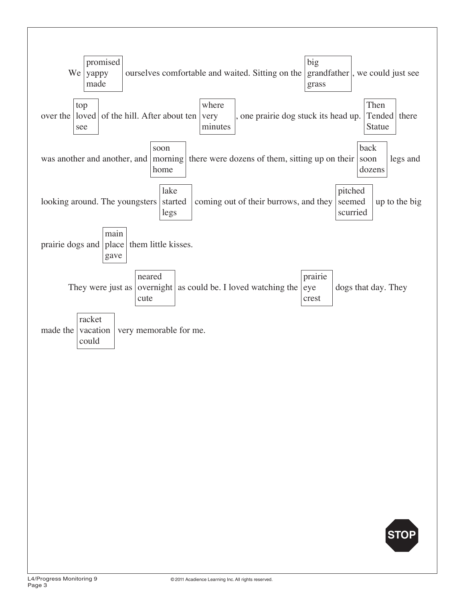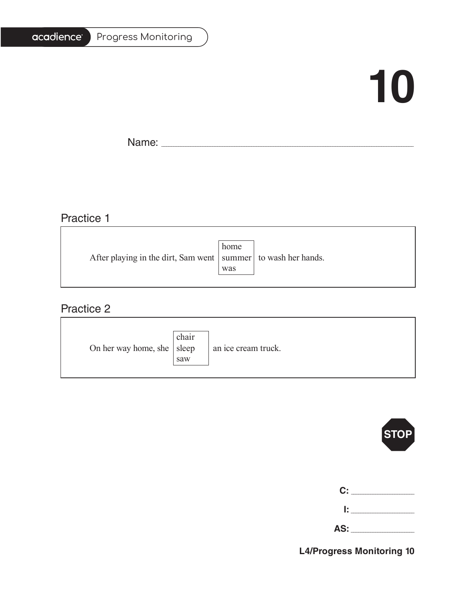#### Progress Monitoring

# **10**

T.

Name: \_\_\_\_\_\_\_\_\_\_\_\_\_\_\_\_\_\_\_\_\_\_\_\_\_\_\_\_\_\_\_\_\_\_\_\_\_\_\_\_\_\_\_\_\_\_\_\_\_\_\_\_\_\_\_\_\_\_\_\_\_\_\_\_\_\_\_\_\_\_\_\_\_\_\_\_\_\_\_\_\_\_\_\_\_\_\_\_\_\_\_\_\_\_\_\_\_\_\_\_\_\_\_

# Practice 1

|                                                                   | home |  |
|-------------------------------------------------------------------|------|--|
| After playing in the dirt, Sam went   summer   to wash her hands. |      |  |
|                                                                   | was  |  |
|                                                                   |      |  |

<u> 1989 - Johann Barbara, martxa alemaniar amerikan basar da a</u>

### Practice 2

| On her way home, she $ $ sleep | chair<br>saw | an ice cream truck. |
|--------------------------------|--------------|---------------------|
|--------------------------------|--------------|---------------------|



| C:  |  |
|-----|--|
| Ŀ   |  |
| AS: |  |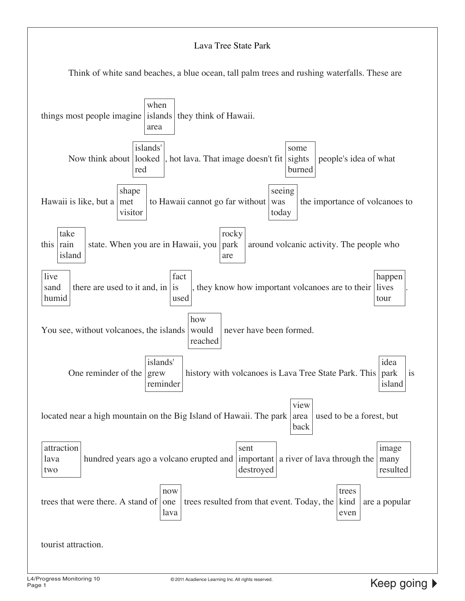#### Lava Tree State Park

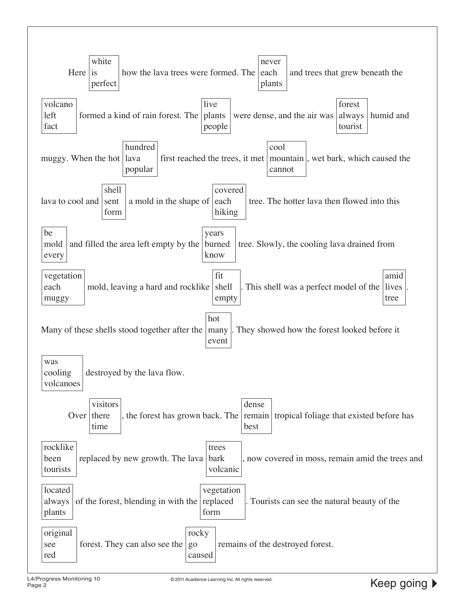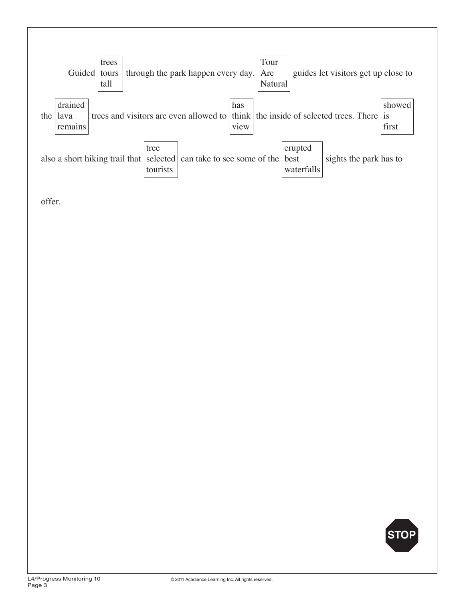

offer.

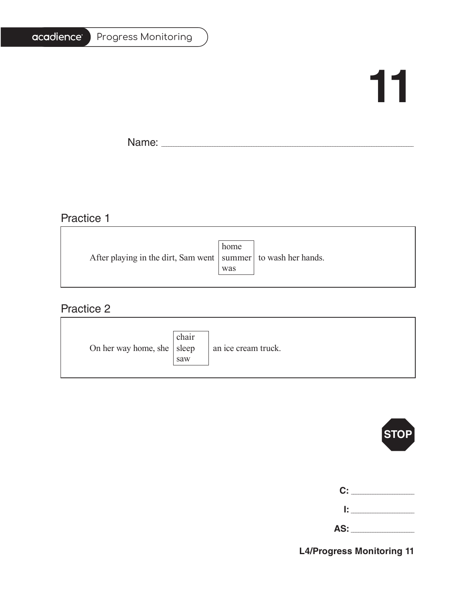#### Progress Monitoring

# **11**

T.

Name: \_\_\_\_\_\_\_\_\_\_\_\_\_\_\_\_\_\_\_\_\_\_\_\_\_\_\_\_\_\_\_\_\_\_\_\_\_\_\_\_\_\_\_\_\_\_\_\_\_\_\_\_\_\_\_\_\_\_\_\_\_\_\_\_\_\_\_\_\_\_\_\_\_\_\_\_\_\_\_\_\_\_\_\_\_\_\_\_\_\_\_\_\_\_\_\_\_\_\_\_\_\_\_

<u> 1989 - Johann Barbara, martxa alemaniar amerikan a</u>

# Practice 1

|                                                                   | home |  |
|-------------------------------------------------------------------|------|--|
| After playing in the dirt, Sam went   summer   to wash her hands. |      |  |
|                                                                   | was  |  |
|                                                                   |      |  |

<u> 1989 - Johann Barn, fransk politik (f. 1989)</u>

### Practice 2

| On her way home, she $ $ sleep | chair<br>saw | an ice cream truck. |
|--------------------------------|--------------|---------------------|
|--------------------------------|--------------|---------------------|



| C:  |  |
|-----|--|
| Ŀ   |  |
| AS: |  |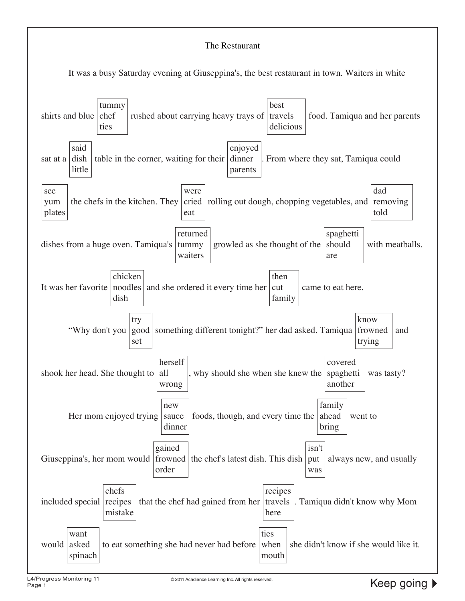#### The Restaurant

It was a busy Saturday evening at Giuseppina's, the best restaurant in town. Waiters in white

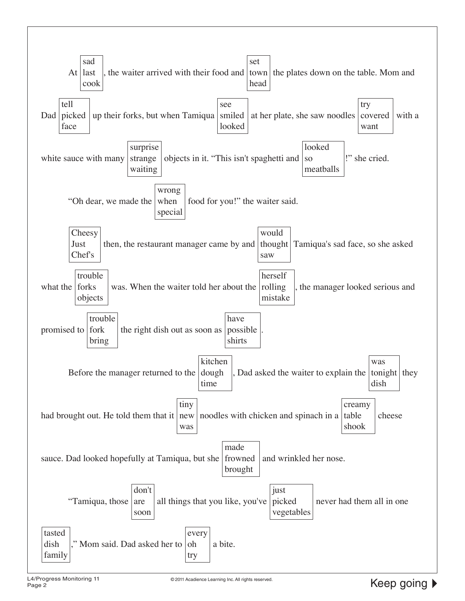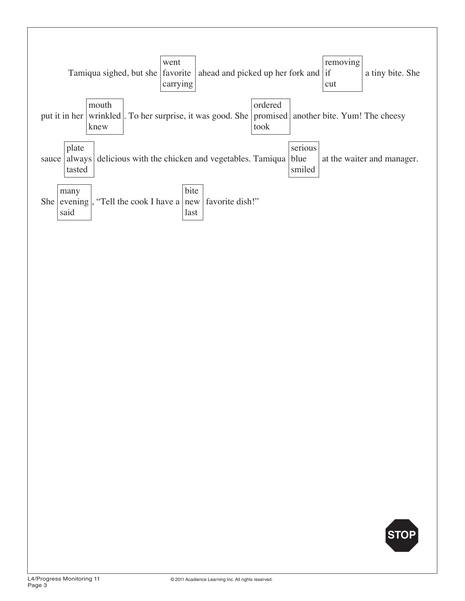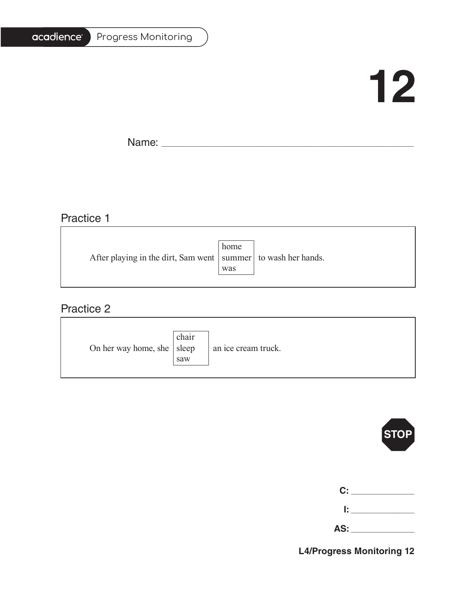#### Progress Monitoring

# **12**

T.

Name: \_\_\_\_\_\_\_\_\_\_\_\_\_\_\_\_\_\_\_\_\_\_\_\_\_\_\_\_\_\_\_\_\_\_\_\_\_\_\_\_\_\_\_\_\_\_\_\_\_\_\_\_\_\_\_\_\_\_\_\_\_\_\_\_\_\_\_\_\_\_\_\_\_\_\_\_\_\_\_\_\_\_\_\_\_\_\_\_\_\_\_\_\_\_\_\_\_\_\_\_\_\_\_

# Practice 1

|                                                                   | home |  |
|-------------------------------------------------------------------|------|--|
| After playing in the dirt, Sam went   summer   to wash her hands. |      |  |
|                                                                   | was  |  |
|                                                                   |      |  |

<u> 1989 - Johann Stoff, deutscher Stoffen und der Stoffen und der Stoffen und der Stoffen und der Stoffen und der</u>

### Practice 2

| On her way home, she $ $ sleep | chair<br>saw | an ice cream truck. |
|--------------------------------|--------------|---------------------|
|--------------------------------|--------------|---------------------|



| C:  |  |
|-----|--|
| Ŀ.  |  |
| AS: |  |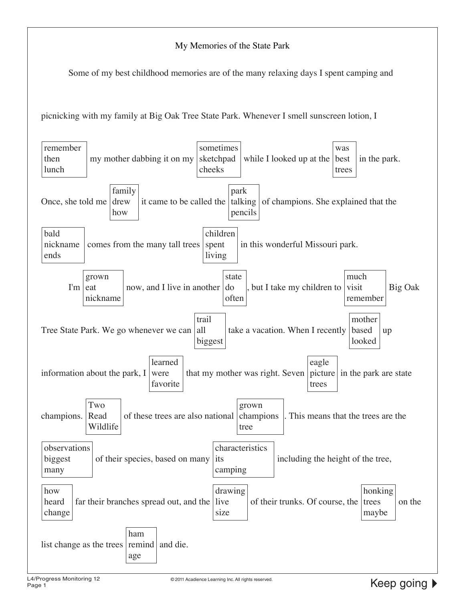#### My Memories of the State Park

Some of my best childhood memories are of the many relaxing days I spent camping and

picnicking with my family at Big Oak Tree State Park. Whenever I smell sunscreen lotion, I

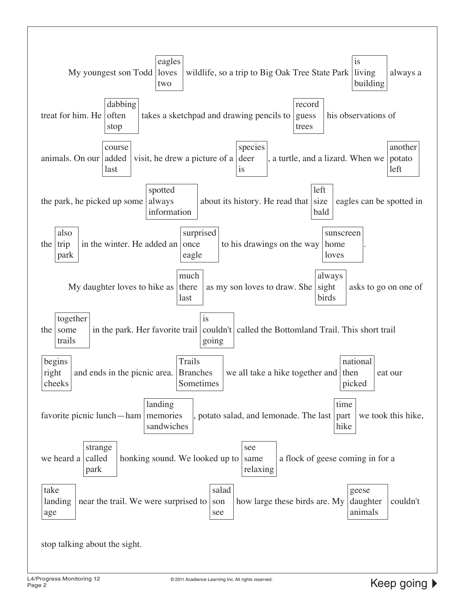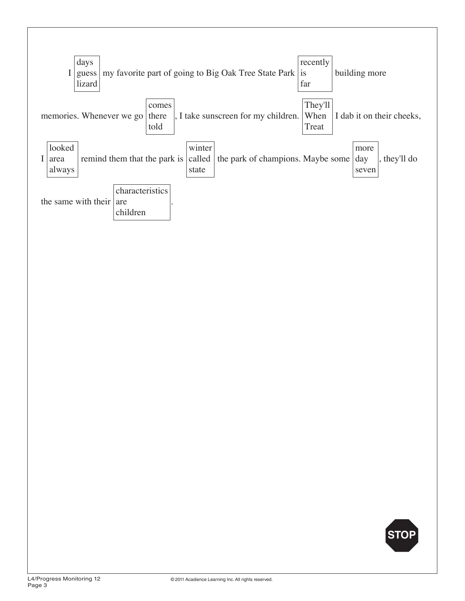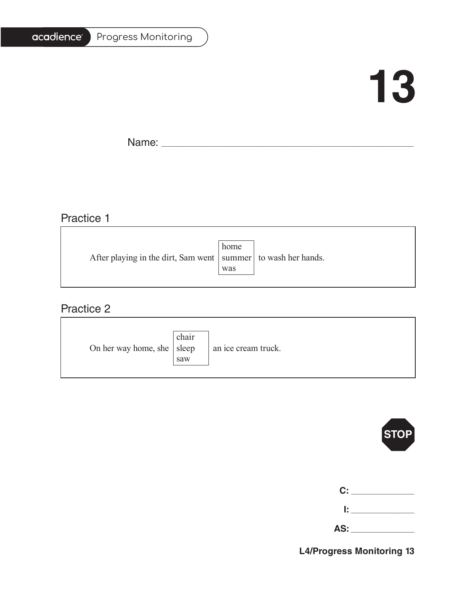#### Progress Monitoring

# **13**

Ē,

Name: \_\_\_\_\_\_\_\_\_\_\_\_\_\_\_\_\_\_\_\_\_\_\_\_\_\_\_\_\_\_\_\_\_\_\_\_\_\_\_\_\_\_\_\_\_\_\_\_\_\_\_\_\_\_\_\_\_\_\_\_\_\_\_\_\_\_\_\_\_\_\_\_\_\_\_\_\_\_\_\_\_\_\_\_\_\_\_\_\_\_\_\_\_\_\_\_\_\_\_\_\_\_\_

# Practice 1

|                                                                   | home |  |
|-------------------------------------------------------------------|------|--|
| After playing in the dirt, Sam went   summer   to wash her hands. |      |  |
|                                                                   | was  |  |
|                                                                   |      |  |

<u> 1989 - Johann Stoff, deutscher Stoffen und der Stoffen und der Stoffen und der Stoffen und der Stoffen und der</u>

### Practice 2

| On her way home, she $ $ sleep | chair<br>saw | an ice cream truck. |
|--------------------------------|--------------|---------------------|
|--------------------------------|--------------|---------------------|



| C: C | <b>Contract Contract Contract Contract Contract Contract Contract Contract Contract Contract Contract Contract Contract Contract Contract Contract Contract Contract Contract Contract Contract Contract Contract Contract Contr</b> |
|------|--------------------------------------------------------------------------------------------------------------------------------------------------------------------------------------------------------------------------------------|
| I: I |                                                                                                                                                                                                                                      |

| ΔS·<br>r.<br><b>.</b> |
|-----------------------|
|-----------------------|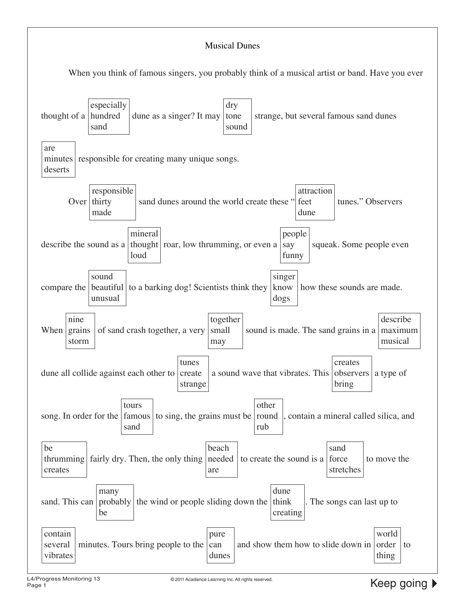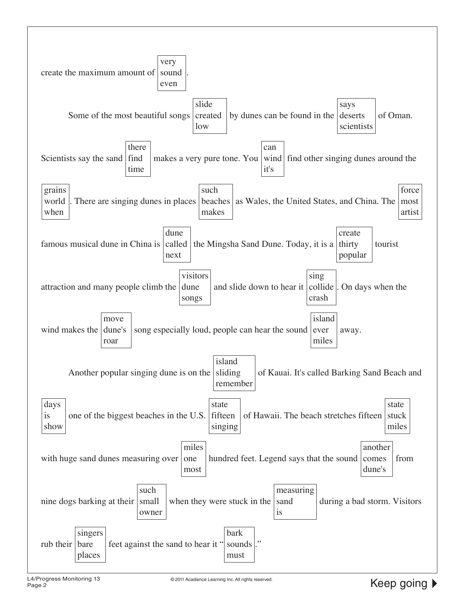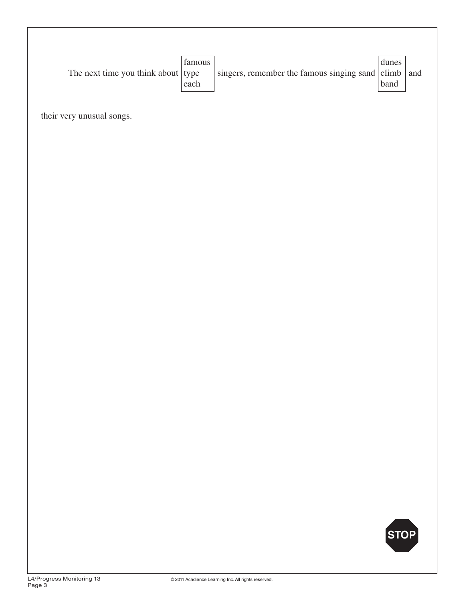their very unusual songs.

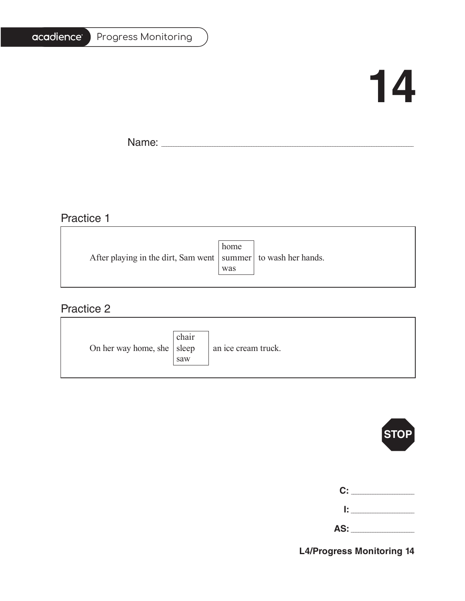#### Progress Monitoring

# **14**

T.

Name: \_\_\_\_\_\_\_\_\_\_\_\_\_\_\_\_\_\_\_\_\_\_\_\_\_\_\_\_\_\_\_\_\_\_\_\_\_\_\_\_\_\_\_\_\_\_\_\_\_\_\_\_\_\_\_\_\_\_\_\_\_\_\_\_\_\_\_\_\_\_\_\_\_\_\_\_\_\_\_\_\_\_\_\_\_\_\_\_\_\_\_\_\_\_\_\_\_\_\_\_\_\_\_

# Practice 1

| After playing in the dirt, Sam went   summer   to wash her hands. |
|-------------------------------------------------------------------|
|                                                                   |
|                                                                   |

<u> 1989 - Johann Stoff, deutscher Stoffen und der Stoffen und der Stoffen und der Stoffen und der Stoffen und der</u>

### Practice 2

| On her way home, she $ $ sleep | chair<br>saw | an ice cream truck. |
|--------------------------------|--------------|---------------------|
|--------------------------------|--------------|---------------------|



| C:  |  |
|-----|--|
| Ŀ   |  |
| AS: |  |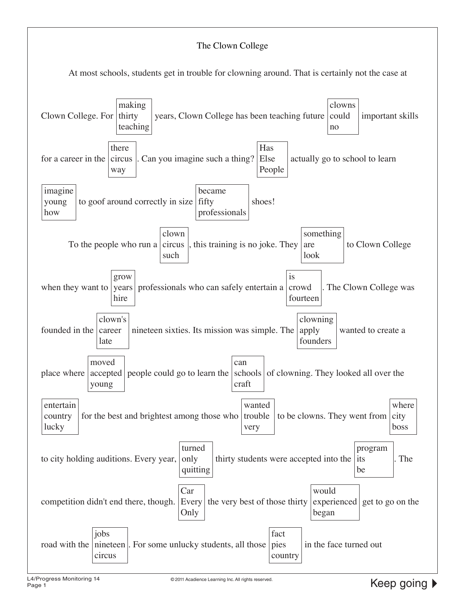#### The Clown College

At most schools, students get in trouble for clowning around. That is certainly not the case at

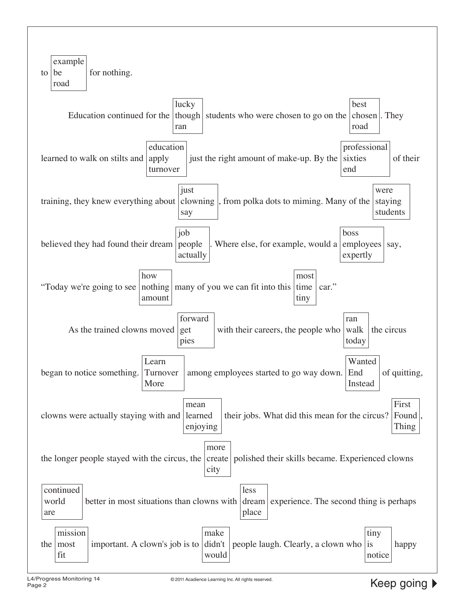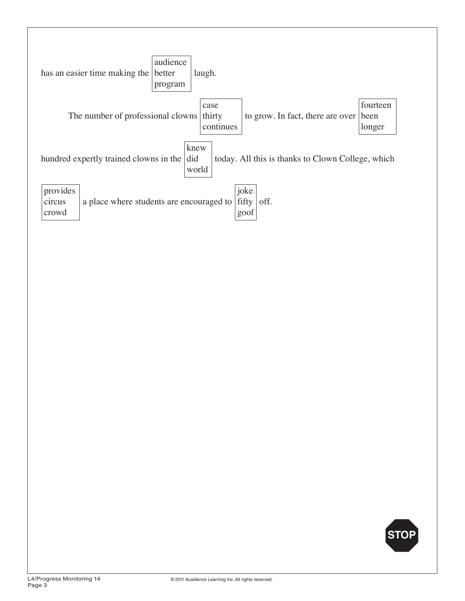

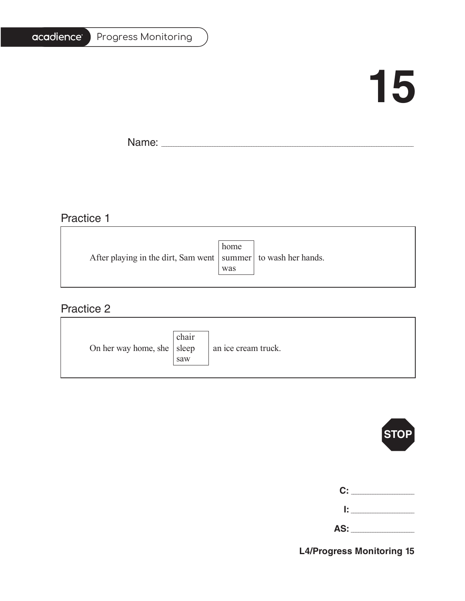#### Progress Monitoring

# **15**

T.

Name: \_\_\_\_\_\_\_\_\_\_\_\_\_\_\_\_\_\_\_\_\_\_\_\_\_\_\_\_\_\_\_\_\_\_\_\_\_\_\_\_\_\_\_\_\_\_\_\_\_\_\_\_\_\_\_\_\_\_\_\_\_\_\_\_\_\_\_\_\_\_\_\_\_\_\_\_\_\_\_\_\_\_\_\_\_\_\_\_\_\_\_\_\_\_\_\_\_\_\_\_\_\_\_

# Practice 1

|                                                                   | home |  |
|-------------------------------------------------------------------|------|--|
| After playing in the dirt, Sam went   summer   to wash her hands. |      |  |
|                                                                   | was  |  |
|                                                                   |      |  |

<u> 1989 - Johann Stoff, deutscher Stoffen und der Stoffen und der Stoffen und der Stoffen und der Stoffen und der</u>

### Practice 2

| On her way home, she $ $ sleep | chair<br>saw | an ice cream truck. |
|--------------------------------|--------------|---------------------|
|--------------------------------|--------------|---------------------|



| C:  |  |
|-----|--|
| Ŀ   |  |
| AS: |  |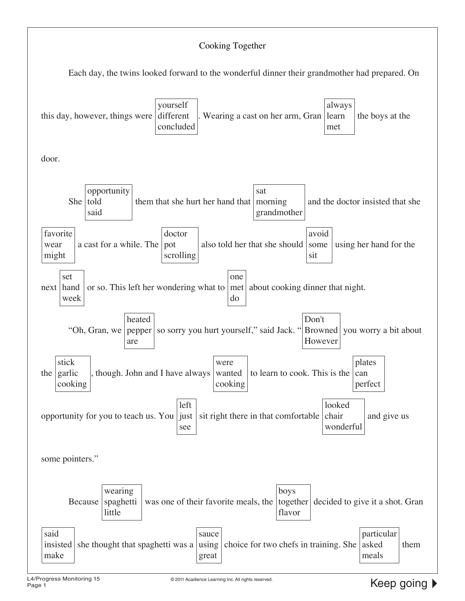#### Cooking Together Each day, the twins looked forward to the wonderful dinner their grandmother had prepared. On this day, however, things were yourself different concluded Wearing a cast on her arm, Gran always learn met the boys at the door. She | told opportunity said them that she hurt her hand that morning sat grandmother and the doctor insisted that she favorite wear might a cast for a while. The doctor pot scrolling also told her that she should avoid some sit using her hand for the next hand set week or so. This left her wondering what to one met do about cooking dinner that night. "Oh, Gran, we pepper heated are so sorry you hurt yourself," said Jack. " Don't Browned However you worry a bit about the garlic stick cooking though. John and I have always were wanted cooking to learn to cook. This is the  $|$  can plates perfect opportunity for you to teach us. You just left see sit right there in that comfortable  $|$  chair looked wonderful and give us some pointers." Because wearing spaghetti little was one of their favorite meals, the | together | decided to give it a shot. Gran boys flavor said insisted she thought that spaghetti was a make sauce using great choice for two chefs in training. She asked particular meals them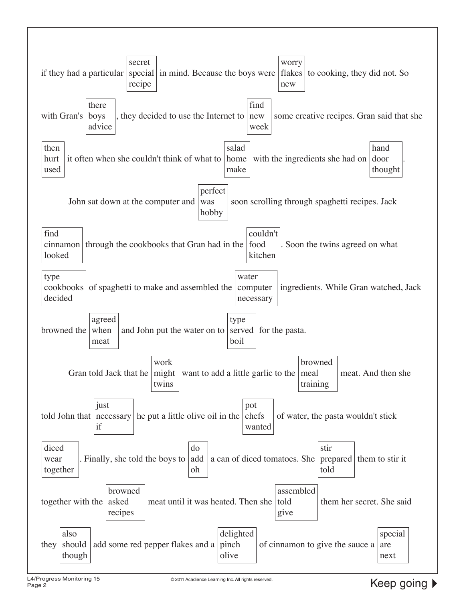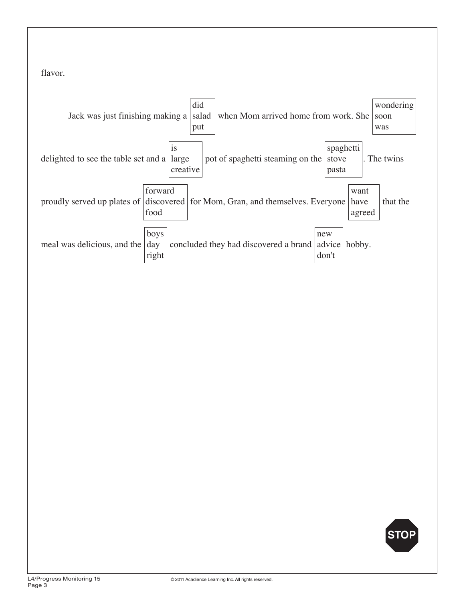flavor.



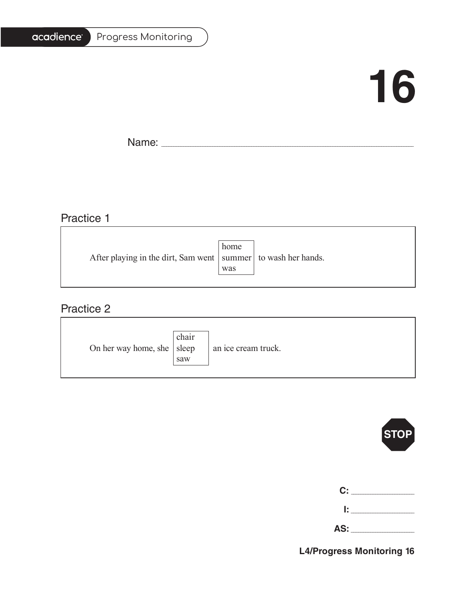#### Progress Monitoring

# **16**

T.

Name: \_\_\_\_\_\_\_\_\_\_\_\_\_\_\_\_\_\_\_\_\_\_\_\_\_\_\_\_\_\_\_\_\_\_\_\_\_\_\_\_\_\_\_\_\_\_\_\_\_\_\_\_\_\_\_\_\_\_\_\_\_\_\_\_\_\_\_\_\_\_\_\_\_\_\_\_\_\_\_\_\_\_\_\_\_\_\_\_\_\_\_\_\_\_\_\_\_\_\_\_\_\_\_

<u> 1989 - Johann Barbara, martxa alemaniar amerikan a</u>

# Practice 1

|                                                                   | home |  |
|-------------------------------------------------------------------|------|--|
| After playing in the dirt, Sam went   summer   to wash her hands. |      |  |
|                                                                   | was  |  |
|                                                                   |      |  |

<u> 1989 - Johann Barbara, martxa alemaniar amerikan basar da a</u>

### Practice 2

| On her way home, she $ $ sleep | chair<br>saw | an ice cream truck. |
|--------------------------------|--------------|---------------------|
|--------------------------------|--------------|---------------------|



| C:  |  |
|-----|--|
| Ŀ   |  |
| AS: |  |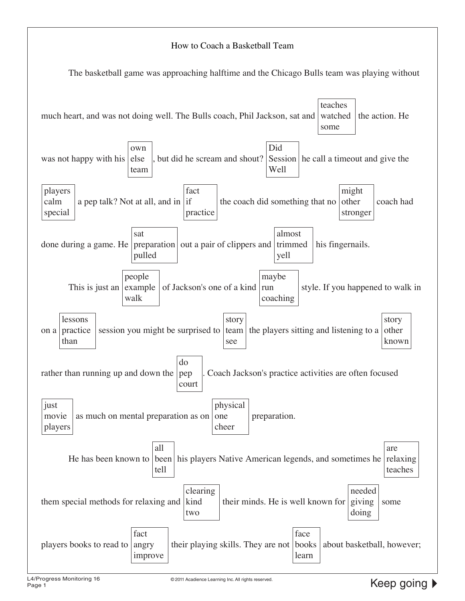#### How to Coach a Basketball Team

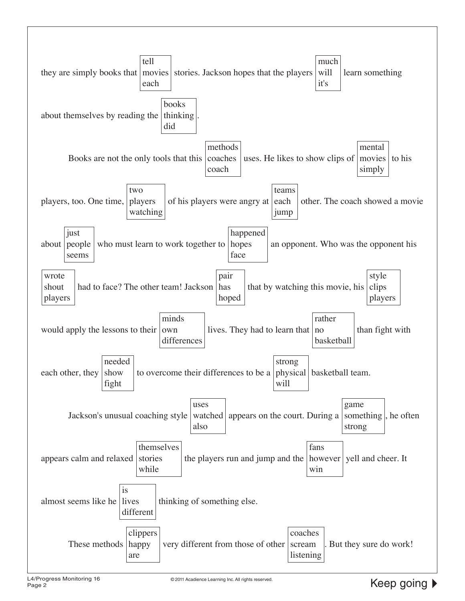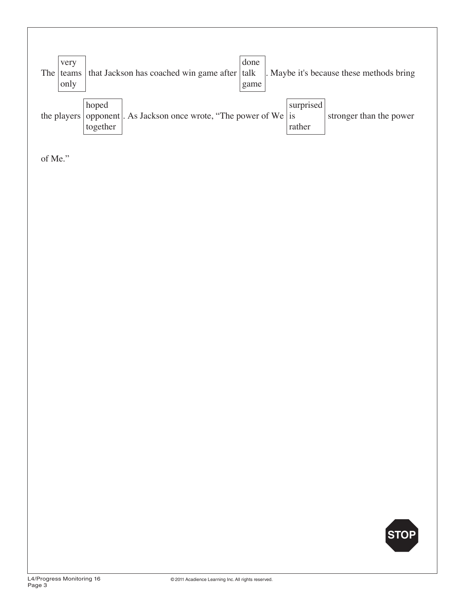| very<br>The teams<br>only | that Jackson has coached win game after talk                                                | done<br>game |                     | . Maybe it's because these methods bring |
|---------------------------|---------------------------------------------------------------------------------------------|--------------|---------------------|------------------------------------------|
|                           | hoped<br>the players   opponent  . As Jackson once wrote, "The power of We   is<br>together |              | surprised<br>rather | stronger than the power                  |

of Me."

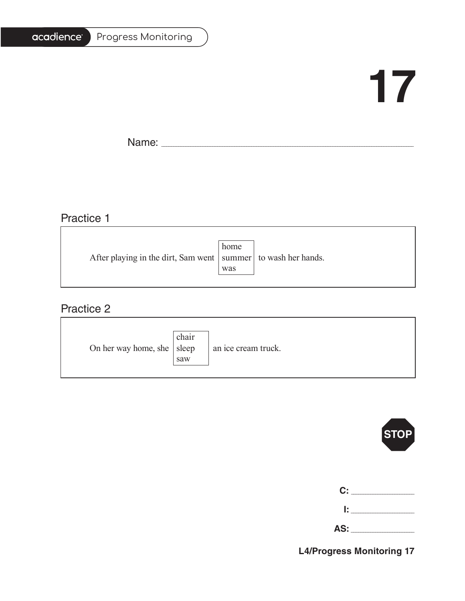#### Progress Monitoring

# **17**

T.

Name: \_\_\_\_\_\_\_\_\_\_\_\_\_\_\_\_\_\_\_\_\_\_\_\_\_\_\_\_\_\_\_\_\_\_\_\_\_\_\_\_\_\_\_\_\_\_\_\_\_\_\_\_\_\_\_\_\_\_\_\_\_\_\_\_\_\_\_\_\_\_\_\_\_\_\_\_\_\_\_\_\_\_\_\_\_\_\_\_\_\_\_\_\_\_\_\_\_\_\_\_\_\_\_

# Practice 1

|     | After playing in the dirt, Sam went   summer   to wash her hands. |
|-----|-------------------------------------------------------------------|
| was |                                                                   |
|     | home                                                              |

<u> 1989 - Johann Stoff, deutscher Stoffen und der Stoffen und der Stoffen und der Stoffen und der Stoffen und der</u>

### Practice 2

| On her way home, she $ $ sleep | chair<br>saw | an ice cream truck. |
|--------------------------------|--------------|---------------------|
|--------------------------------|--------------|---------------------|



| C:  |  |
|-----|--|
| Ŀ.  |  |
| AS: |  |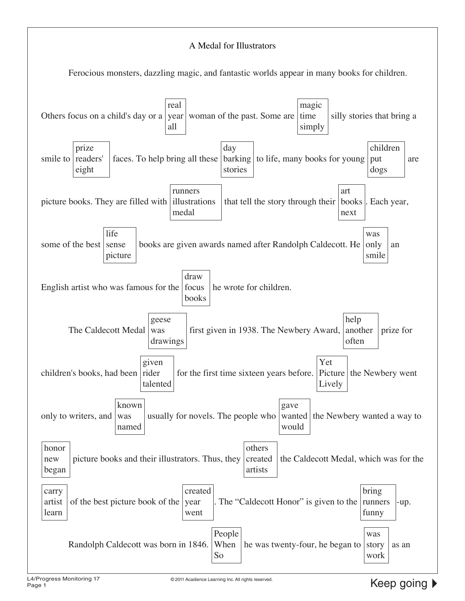#### A Medal for Illustrators

Ferocious monsters, dazzling magic, and fantastic worlds appear in many books for children.

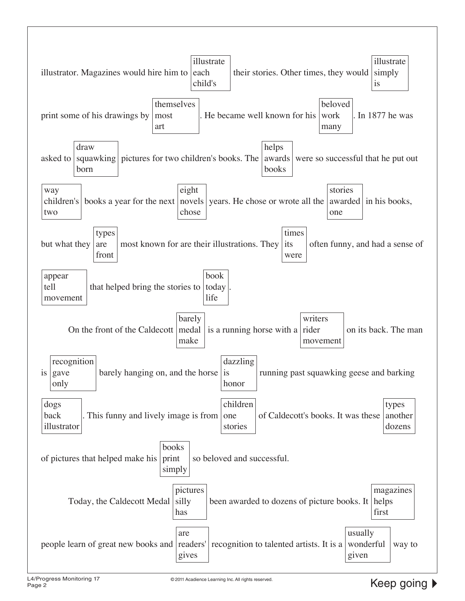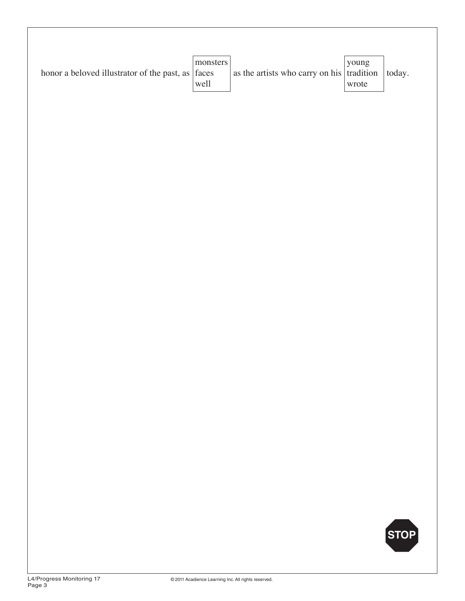| honor a beloved illustrator of the past, as $\vert$ faces | monsters<br>well | as the artists who carry on his $\vert$ tradition | young<br>wrote | today. |
|-----------------------------------------------------------|------------------|---------------------------------------------------|----------------|--------|
|                                                           |                  |                                                   |                |        |
|                                                           |                  |                                                   |                |        |
|                                                           |                  |                                                   |                |        |
|                                                           |                  |                                                   |                |        |
|                                                           |                  |                                                   |                |        |
|                                                           |                  |                                                   |                |        |
|                                                           |                  |                                                   |                | STOP   |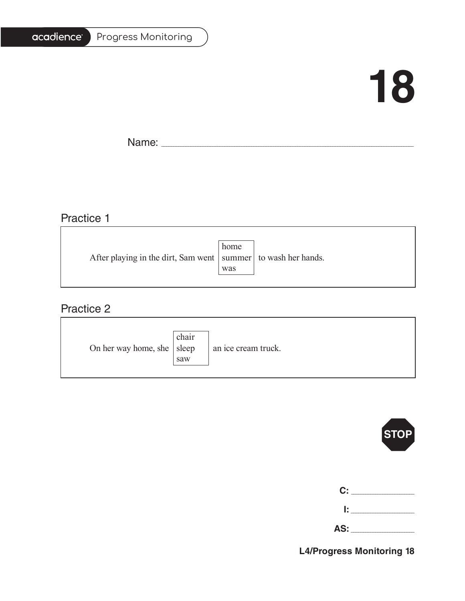#### Progress Monitoring

# **18**

T.

Name: \_\_\_\_\_\_\_\_\_\_\_\_\_\_\_\_\_\_\_\_\_\_\_\_\_\_\_\_\_\_\_\_\_\_\_\_\_\_\_\_\_\_\_\_\_\_\_\_\_\_\_\_\_\_\_\_\_\_\_\_\_\_\_\_\_\_\_\_\_\_\_\_\_\_\_\_\_\_\_\_\_\_\_\_\_\_\_\_\_\_\_\_\_\_\_\_\_\_\_\_\_\_\_

<u> 1980 - Johann Barbara, martxa alemaniar amerikan a</u>

# Practice 1

|                                                                   | home |  |
|-------------------------------------------------------------------|------|--|
| After playing in the dirt, Sam went   summer   to wash her hands. |      |  |
|                                                                   | was  |  |
|                                                                   |      |  |

<u> 1989 - Johann Stoff, deutscher Stoffen und der Stoffen und der Stoffen und der Stoffen und der Stoffen und der</u>

### Practice 2

| On her way home, she $ $ sleep | chair<br>saw | an ice cream truck. |
|--------------------------------|--------------|---------------------|
|--------------------------------|--------------|---------------------|



| C:  |  |
|-----|--|
| Ŀ   |  |
| AS: |  |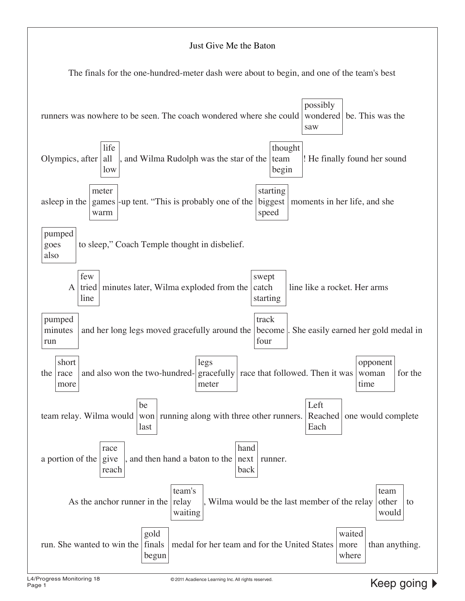#### Just Give Me the Baton

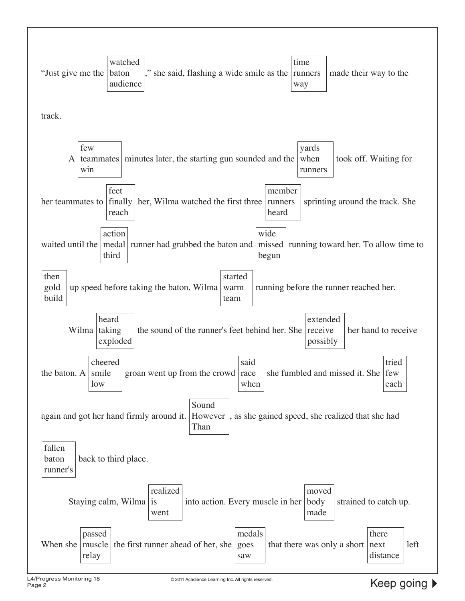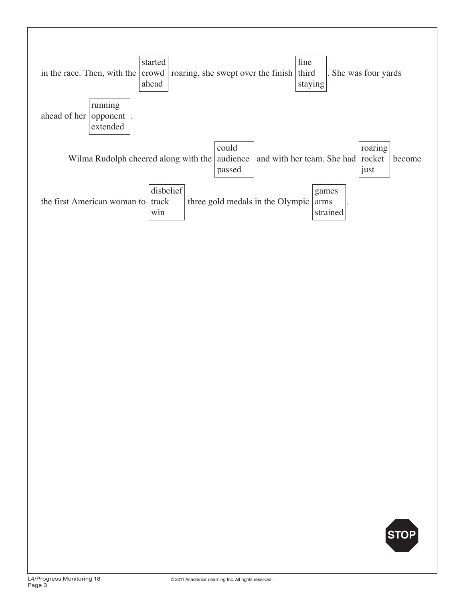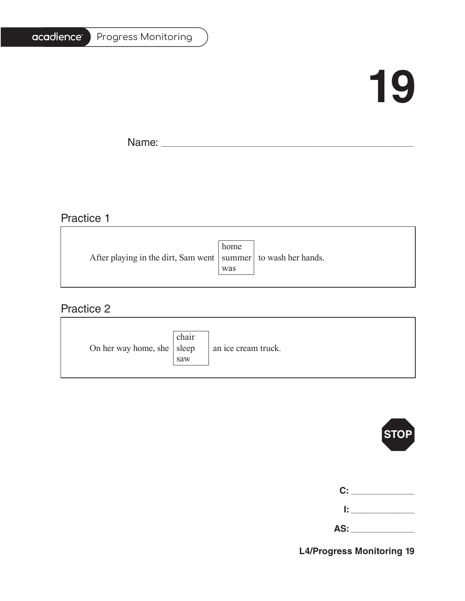## acadience®

#### Progress Monitoring

# **19**

T.

Name: \_\_\_\_\_\_\_\_\_\_\_\_\_\_\_\_\_\_\_\_\_\_\_\_\_\_\_\_\_\_\_\_\_\_\_\_\_\_\_\_\_\_\_\_\_\_\_\_\_\_\_\_\_\_\_\_\_\_\_\_\_\_\_\_\_\_\_\_\_\_\_\_\_\_\_\_\_\_\_\_\_\_\_\_\_\_\_\_\_\_\_\_\_\_\_\_\_\_\_\_\_\_\_

## Practice 1

|                                                                   | home |  |
|-------------------------------------------------------------------|------|--|
| After playing in the dirt, Sam went   summer   to wash her hands. |      |  |
|                                                                   | was  |  |
|                                                                   |      |  |

<u> 1989 - Johann Barbara, martxa alemaniar amerikan basar da a</u>

### Practice 2

| On her way home, she $ $ sleep | chair<br>saw | an ice cream truck. |
|--------------------------------|--------------|---------------------|
|--------------------------------|--------------|---------------------|



| C: C |        |
|------|--------|
|      | lt i v |

**AS:** \_\_\_\_\_\_\_\_\_\_\_\_\_\_\_\_\_\_\_\_\_\_\_\_\_\_

**L4/Progress Monitoring 19**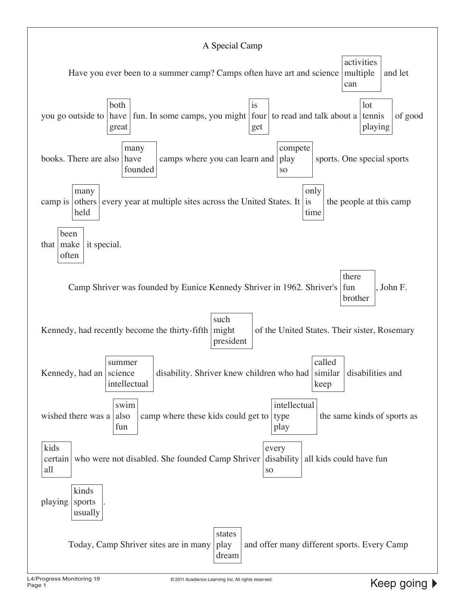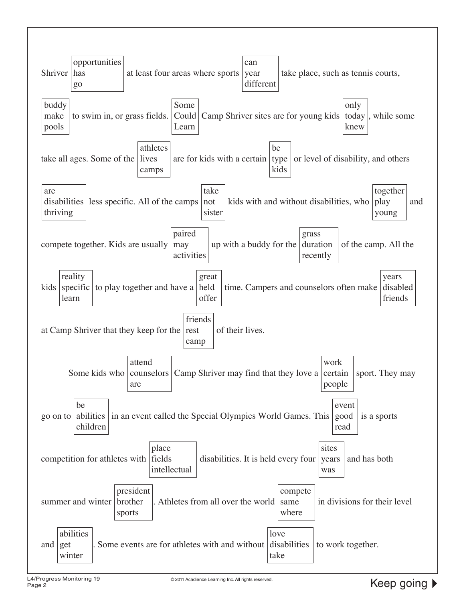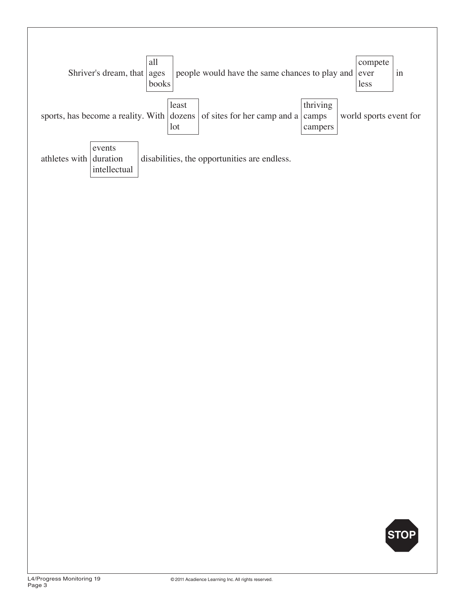

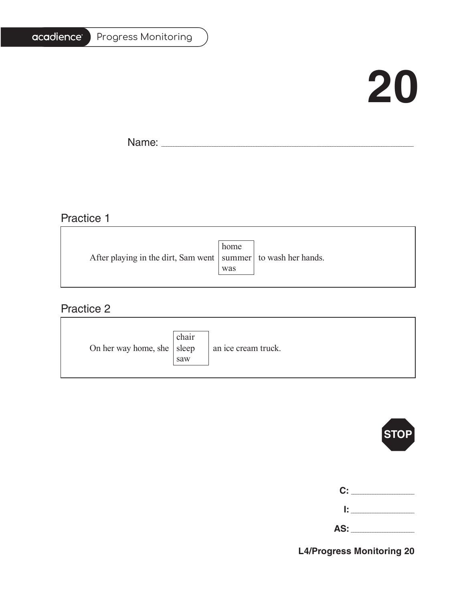## acadience®

#### Progress Monitoring

# **20**

٦

Name: \_\_\_\_\_\_\_\_\_\_\_\_\_\_\_\_\_\_\_\_\_\_\_\_\_\_\_\_\_\_\_\_\_\_\_\_\_\_\_\_\_\_\_\_\_\_\_\_\_\_\_\_\_\_\_\_\_\_\_\_\_\_\_\_\_\_\_\_\_\_\_\_\_\_\_\_\_\_\_\_\_\_\_\_\_\_\_\_\_\_\_\_\_\_\_\_\_\_\_\_\_\_\_

### Practice 1

|                                                                   | home |  |
|-------------------------------------------------------------------|------|--|
| After playing in the dirt, Sam went   summer   to wash her hands. |      |  |
|                                                                   | was  |  |
|                                                                   |      |  |

<u> 1989 - Johann Stoff, deutscher Stoffen und der Stoffen und der Stoffen und der Stoffen und der Stoffen und der</u>

### Practice 2

| On her way home, she $ $ sleep | chair<br>saw | an ice cream truck. |
|--------------------------------|--------------|---------------------|
|--------------------------------|--------------|---------------------|



| C: _______ |
|------------|
| 1: I       |

| AS: |  |
|-----|--|
|     |  |

**L4/Progress Monitoring 20**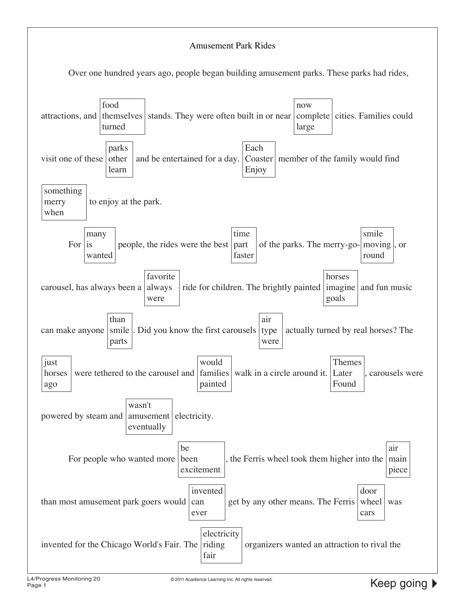#### Amusement Park Rides

Over one hundred years ago, people began building amusement parks. These parks had rides,

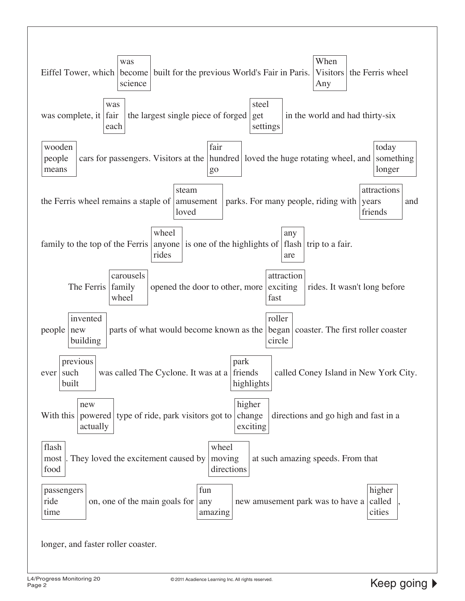